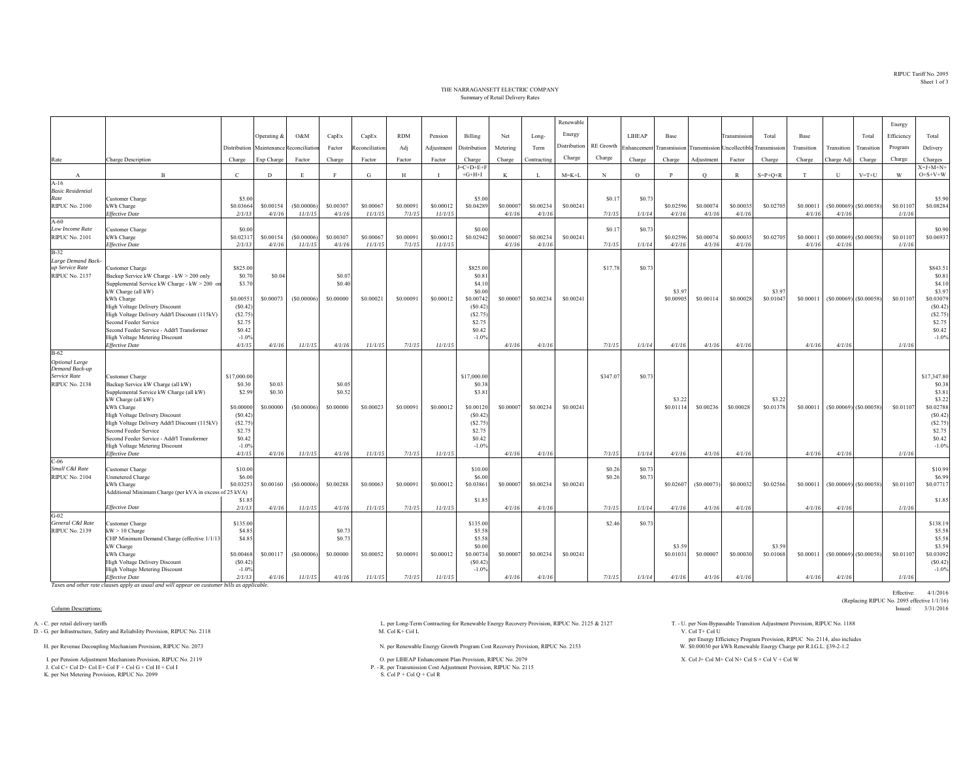RIPUC Tariff No. 2095Sheet 1 of 3

## THE NARRAGANSETT ELECTRIC COMPANYSummary of Retail Delivery Rates

|                                  |                                                                                        |                     |                     |                       |                     |                      |                     | Renewable            |                       |                    |                     |                     |                  |               |                     |                     |                     |                     |                     | Energy       |                           |                     |                       |
|----------------------------------|----------------------------------------------------------------------------------------|---------------------|---------------------|-----------------------|---------------------|----------------------|---------------------|----------------------|-----------------------|--------------------|---------------------|---------------------|------------------|---------------|---------------------|---------------------|---------------------|---------------------|---------------------|--------------|---------------------------|---------------------|-----------------------|
|                                  |                                                                                        |                     | Operating &         | O&M                   | CapEx               | CapEx                | <b>RDM</b>          | Pension              | Billing               | Net                | Long-               | Energy              |                  | <b>LIHEAP</b> | Base                |                     | <b>Transmission</b> | Total               | Base                |              | Total                     | Efficiency          | Total                 |
|                                  |                                                                                        | Distribution        | Maintenance         | teconciliation        | Factor              | econciliation        | Adj                 | Adjustment           | Distribution          | Metering           | Term                | <b>Distribution</b> | <b>RE</b> Growth | Enhancemen    | ransmission         | <b>Transmission</b> | Uncollectible       | <b>Transmission</b> | Transition          | Transition   | Transition                | Program             | Delivery              |
|                                  |                                                                                        |                     |                     |                       |                     |                      |                     |                      |                       |                    |                     | Charge              | Charge           |               |                     |                     |                     |                     |                     |              |                           |                     |                       |
| Rate                             | Charge Description                                                                     | Charge              | Exp Charge          | Factor                | Charge              | Factor               | Factor              | Factor               | Charge<br>$J=C+D+E+F$ | Charge             | Contracting         |                     |                  | Charge        | Charge              | Adjustment          | Factor              | Charge              | Charge              | Charge Adj   | Charge                    | Charge              | Charges<br>$X=J+M+N+$ |
| A                                | $\mathbf{B}$                                                                           | $\,c\,$             | D                   | E.                    |                     | G                    | H                   | - 1                  | $+G+H+I$              | K                  | - 1                 | $M = K + L$         | N                | $\Omega$      | D                   | $\circ$             | $\mathbb{R}$        | $S = P + Q + R$     | T                   | $\mathbf{U}$ | $V = T + U$               | W                   | $O+S+V+W$             |
| $A-16$                           |                                                                                        |                     |                     |                       |                     |                      |                     |                      |                       |                    |                     |                     |                  |               |                     |                     |                     |                     |                     |              |                           |                     |                       |
| <b>Basic Residential</b><br>Rate |                                                                                        |                     |                     |                       |                     |                      |                     |                      |                       |                    |                     |                     | \$0.1            |               |                     |                     |                     |                     |                     |              |                           |                     | \$5.90                |
| <b>RIPUC No. 2100</b>            | Customer Charge<br>kWh Charge                                                          | \$5.00<br>\$0.03664 | \$0.00154           | (S0.00006)            | \$0.00307           | \$0,00067            | \$0.00091           | \$0.00012            | \$5.00<br>\$0.04289   | \$0.0000           | \$0.00234           | \$0.00241           |                  | \$0.73        | \$0.02596           | \$0.00074           | \$0.00035           | \$0.0270            | \$0.00011           |              | $(S0.00069)$ (\$0.00058)  | \$0.01107           | \$0.08284             |
|                                  | <b>Effective Date</b>                                                                  | 2/1/13              | 4/1/16              | 11/1/15               | 4/1/16              | 11/1/15              | 7/1/15              | 11/1/15              |                       | 4/1/16             | 4/1/16              |                     | 7/1/15           | 1/1/14        | 4/1/16              | 4/1/16              | 4/1/16              |                     | 4/1/16              | 4/1/16       |                           | 1/1/16              |                       |
| $A-60$                           |                                                                                        |                     |                     |                       |                     |                      |                     |                      |                       |                    |                     |                     |                  |               |                     |                     |                     |                     |                     |              |                           |                     |                       |
| Low Income Rate                  | Customer Charge                                                                        | \$0.00              |                     |                       |                     |                      |                     |                      | \$0.00                |                    |                     |                     | \$0.17           | \$0.73        |                     |                     |                     |                     |                     |              |                           |                     | \$0.90                |
| <b>RIPUC No. 2101</b>            | kWh Charge<br><b>Effective Date</b>                                                    | \$0.0231<br>2/1/13  | \$0.00154<br>4/1/16 | (S0.00006)<br>11/1/15 | \$0.00307<br>4/1/16 | \$0,00067<br>11/1/15 | \$0.00091<br>7/1/15 | \$0,00012<br>11/1/15 | \$0.02942             | \$0,0000<br>4/1/16 | \$0.00234<br>4/1/16 | \$0.00241           | 7/1/15           | 1/1/14        | \$0.02596<br>4/1/16 | \$0,00074<br>4/1/16 | \$0.00035<br>4/1/16 | \$0.02705           | \$0,00011<br>4/1/16 | 4/1/16       | $(S0.00069)$ $(S0.00058)$ | \$0.01107<br>1/1/16 | \$0.06937             |
| $B-32$                           |                                                                                        |                     |                     |                       |                     |                      |                     |                      |                       |                    |                     |                     |                  |               |                     |                     |                     |                     |                     |              |                           |                     |                       |
| Large Demand Back-               |                                                                                        |                     |                     |                       |                     |                      |                     |                      |                       |                    |                     |                     |                  |               |                     |                     |                     |                     |                     |              |                           |                     |                       |
| up Service Rate                  | Customer Charge                                                                        | \$825.00            |                     |                       |                     |                      |                     |                      | \$825.00              |                    |                     |                     | \$17.78          | \$0.7         |                     |                     |                     |                     |                     |              |                           |                     | \$843.51              |
| <b>RIPUC No. 2137</b>            | Backup Service kW Charge - kW > 200 only                                               | \$0.70              | \$0.04              |                       | \$0.07              |                      |                     |                      | \$0.81                |                    |                     |                     |                  |               |                     |                     |                     |                     |                     |              |                           |                     | \$0.81                |
|                                  | Supplemental Service kW Charge - kW > 200 or<br>kW Charge (all kW)                     | \$3.70              |                     |                       | \$0.40              |                      |                     |                      | \$4.10<br>\$0.00      |                    |                     |                     |                  |               | \$3.97              |                     |                     | \$3.9               |                     |              |                           |                     | \$4.10<br>\$3.97      |
|                                  | kWh Charge                                                                             | \$0.00551           | \$0.00073           | (S0.00006)            | \$0,00000           | \$0.00021            | \$0.00091           | \$0.00012            | \$0.00742             | \$0.00007          | \$0.00234           | \$0.00241           |                  |               | \$0.00905           | \$0.00114           | \$0.00028           | \$0.0104            | \$0.00011           |              | $(S0.00069)$ $(S0.00058)$ | \$0.01107           | \$0.03079             |
|                                  | <b>High Voltage Delivery Discount</b>                                                  | (S0.42)             |                     |                       |                     |                      |                     |                      | (S0.42)               |                    |                     |                     |                  |               |                     |                     |                     |                     |                     |              |                           |                     | (S0.42)               |
|                                  | High Voltage Delivery Addt'l Discount (115kV)                                          | (S2.75)             |                     |                       |                     |                      |                     |                      | (S2.75)               |                    |                     |                     |                  |               |                     |                     |                     |                     |                     |              |                           |                     | (S2.75)               |
|                                  | Second Feeder Service                                                                  | \$2.75              |                     |                       |                     |                      |                     |                      | \$2.75                |                    |                     |                     |                  |               |                     |                     |                     |                     |                     |              |                           |                     | \$2.75                |
|                                  | Second Feeder Service - Addt'l Transformer<br>High Voltage Metering Discount           | \$0.42<br>$-1.0%$   |                     |                       |                     |                      |                     |                      | \$0.42<br>$-1.0%$     |                    |                     |                     |                  |               |                     |                     |                     |                     |                     |              |                           |                     | \$0.42<br>$-1.0%$     |
|                                  | <b>Effective Date</b>                                                                  | 4/1/15              | 4/1/16              | 11/1/15               | 4/1/16              | 11/1/15              | 7/1/15              | 11/1/15              |                       | 4/1/16             | 4/1/16              |                     | 7/1/15           | 1/1/14        | 4/1/16              | 4/1/16              | 4/1/16              |                     | 4/1/16              | 4/1/16       |                           | 1/1/16              |                       |
| <b>B-62</b>                      |                                                                                        |                     |                     |                       |                     |                      |                     |                      |                       |                    |                     |                     |                  |               |                     |                     |                     |                     |                     |              |                           |                     |                       |
| <b>Optional Large</b>            |                                                                                        |                     |                     |                       |                     |                      |                     |                      |                       |                    |                     |                     |                  |               |                     |                     |                     |                     |                     |              |                           |                     |                       |
| Demand Back-up<br>Service Rate   | Customer Charge                                                                        | \$17,000.00         |                     |                       |                     |                      |                     |                      | \$17,000.00           |                    |                     |                     | \$347.07         | \$0.7         |                     |                     |                     |                     |                     |              |                           |                     | \$17,347.80           |
| <b>RIPUC No. 2138</b>            | Backup Service kW Charge (all kW)                                                      | \$0.30              | \$0.03              |                       | \$0.05              |                      |                     |                      | \$0.38                |                    |                     |                     |                  |               |                     |                     |                     |                     |                     |              |                           |                     | \$0.38                |
|                                  | Supplemental Service kW Charge (all kW)                                                | \$2.99              | \$0.30              |                       | \$0.52              |                      |                     |                      | \$3.81                |                    |                     |                     |                  |               |                     |                     |                     |                     |                     |              |                           |                     | \$3.81                |
|                                  | kW Charge (all kW)                                                                     |                     |                     |                       |                     |                      |                     |                      |                       |                    |                     |                     |                  |               | \$3.22              |                     |                     | \$3.2               |                     |              |                           |                     | \$3.22                |
|                                  | kWh Charge                                                                             | \$0,00000           | \$0,00000           | (S0.00006)            | \$0,00000           | \$0.00023            | \$0,00091           | \$0.00012            | \$0.00120             | \$0,0000           | \$0.00234           | \$0.00241           |                  |               | \$0.01114           | \$0.00236           | \$0.00028           | \$0.01378           | \$0,00011           |              | $(S0.00069)$ $(S0.00058)$ | \$0.01107           | \$0.02788             |
|                                  | <b>High Voltage Delivery Discount</b><br>High Voltage Delivery Addt'l Discount (115kV) | (S0.42)<br>(S2.75)  |                     |                       |                     |                      |                     |                      | (S0.42)<br>(S2.75)    |                    |                     |                     |                  |               |                     |                     |                     |                     |                     |              |                           |                     | (S0.42)<br>(S2.75)    |
|                                  | Second Feeder Service                                                                  | \$2.75              |                     |                       |                     |                      |                     |                      | \$2.75                |                    |                     |                     |                  |               |                     |                     |                     |                     |                     |              |                           |                     | \$2.75                |
|                                  | Second Feeder Service - Addt'l Transformer                                             | \$0.42              |                     |                       |                     |                      |                     |                      | \$0.42                |                    |                     |                     |                  |               |                     |                     |                     |                     |                     |              |                           |                     | \$0.42                |
|                                  | High Voltage Metering Discount                                                         | $-1.0%$             |                     |                       |                     |                      |                     |                      | $-1.0%$               |                    |                     |                     |                  |               |                     |                     |                     |                     |                     |              |                           |                     | $-1.0%$               |
| $C-06$                           | <b>Effective Date</b>                                                                  | 4/1/15              | 4/1/16              | 11/1/15               | 4/1/16              | 11/1/15              | 7/1/15              | 11/1/15              |                       | 4/1/16             | 4/1/16              |                     | 7/1/15           | 1/1/14        | 4/1/16              | 4/1/16              | 4/1/16              |                     | 4/1/16              | 4/1/16       |                           | 1/1/16              |                       |
| Small C&I Rate                   | Customer Charge                                                                        | \$10.00             |                     |                       |                     |                      |                     |                      | \$10.00               |                    |                     |                     | \$0.26           | \$0.73        |                     |                     |                     |                     |                     |              |                           |                     | \$10.99               |
| <b>RIPUC No. 2104</b>            | Unmetered Charge                                                                       | \$6.00              |                     |                       |                     |                      |                     |                      | \$6.00                |                    |                     |                     | \$0.26           | \$0.73        |                     |                     |                     |                     |                     |              |                           |                     | \$6.99                |
|                                  | kWh Charge                                                                             | \$0.03253           | \$0.00160           | (S0.00006)            | \$0.00288           | \$0,00063            | \$0.00091           | \$0.00012            | \$0.03861             | \$0,0000           | \$0.00234           | \$0.00241           |                  |               | \$0.02607           | (S0.00073)          | \$0.00032           | \$0.02566           | \$0,00011           |              | $(S0.00069)$ $(S0.00058)$ | \$0.01107           | \$0.07717             |
|                                  | Additional Minimum Charge (per kVA in excess of 25 kVA)                                |                     |                     |                       |                     |                      |                     |                      |                       |                    |                     |                     |                  |               |                     |                     |                     |                     |                     |              |                           |                     |                       |
|                                  | <b>Effective Date</b>                                                                  | \$1.8<br>2/1/13     | 4/1/16              | 11/1/15               | 4/1/16              | 11/1/15              | 7/1/15              | 11/1/15              | \$1.85                | 4/1/16             | 4/1/16              |                     | 7/1/15           | 1/1/14        | 4/1/16              | 4/1/16              | 4/1/16              |                     | 4/1/16              | 4/1/16       |                           | 1/1/16              | \$1.85                |
| $G-02$                           |                                                                                        |                     |                     |                       |                     |                      |                     |                      |                       |                    |                     |                     |                  |               |                     |                     |                     |                     |                     |              |                           |                     |                       |
| General C&I Rate                 | Customer Charge                                                                        | \$135.00            |                     |                       |                     |                      |                     |                      | \$135.00              |                    |                     |                     | \$2.46           | \$0.73        |                     |                     |                     |                     |                     |              |                           |                     | \$138.19              |
| <b>RIPUC No. 2139</b>            | $kW > 10$ Charge                                                                       | \$4.85              |                     |                       | \$0.73              |                      |                     |                      | \$5.58                |                    |                     |                     |                  |               |                     |                     |                     |                     |                     |              |                           |                     | \$5.58                |
|                                  | CHP Minimum Demand Charge (effective 1/1/1                                             | \$4.85              |                     |                       | \$0.73              |                      |                     |                      | \$5.58                |                    |                     |                     |                  |               |                     |                     |                     |                     |                     |              |                           |                     | \$5.58                |
|                                  | kW Charge<br>kWh Charge                                                                | \$0.00468           | \$0.00117           | (S0.00006)            | \$0,00000           | \$0.00052            | \$0,00091           | \$0.00012            | \$0.00<br>\$0.00734   | \$0,0000           | \$0.00234           | \$0.00241           |                  |               | \$3.59<br>\$0.01031 | \$0.00007           | \$0.00030           | \$3.59<br>\$0.01068 | \$0.00011           |              | $(S0.00069)$ $(S0.00058)$ | \$0.01107           | \$3.59<br>\$0.03092   |
|                                  | High Voltage Delivery Discount                                                         | (S0.42)             |                     |                       |                     |                      |                     |                      | (S0.42)               |                    |                     |                     |                  |               |                     |                     |                     |                     |                     |              |                           |                     | (S0.42)               |
|                                  | High Voltage Metering Discount                                                         | $-1.0%$             |                     |                       |                     |                      |                     |                      | $-1.0%$               |                    |                     |                     |                  |               |                     |                     |                     |                     |                     |              |                           |                     | $-1.0%$               |
|                                  | <b>Effective Date</b>                                                                  | 2/1/13              | 4/1/16              | 11/1/15               | 4/1/16              | 11/1/15              | 7/1/15              | 11/1/15              |                       | 4/1/16             | 4/1/16              |                     | 7/1/15           | 1/1/14        | 4/1/16              | 4/1/16              | 4/1/16              |                     | 4/1/16              | 4/1/16       |                           | 1/1/16              |                       |

*Taxes and other rate clauses apply as usual and will appear on customer bills as applicable.*

D. - G. per Infrastructure, Safety and Reliability Provision, RIPUC No. 2118

K. per Net Metering Provision, RIPUC No. 2099

A. - C. per retail delivery tariffs Adjustment Provision, RIPUC No. 2118<br>
D. - G. per Long-Term Contracting for Renewable Energy Recovery Provision, RIPUC No. 2125 & 2127 T. - U. per Non-Bypassable Transition Adjustment Pr

H. per Renewable Energy Growth Program Cost Recovery Provision, RIPUC No. 2153 N. per Renewable Energy Growth Program Cost Recovery Provision, RIPUC No. 2153

I. per Pension Adjustment Mechanism Provision, RIPUC No. 2119 O. per LIHEAP Enhancement Plan Provision, RIPUC No. 2079 2079 2079 X. Col J+ Col M+ Col N+ Col S + Col V + Col W + Col W + Col V + Col W + Col W + Col W + Col P. - R. per Transmission Cost Adjustment Provision, RIPUC No. 2115<br>S. Col P + Col Q + Col R

per Energy Efficiency Program Provision, RIPUC No. 2114, also includes \$0.00030 per kWh Renewable Energy Charge per R.I.G.L. §39-2-1.2

Effective: 4/1/2016 (Replacing RIPUC No. 2095 effective 1/1/16)<br>Issued: 3/31/2016 Column Descriptions: Issued: 3/31/2016